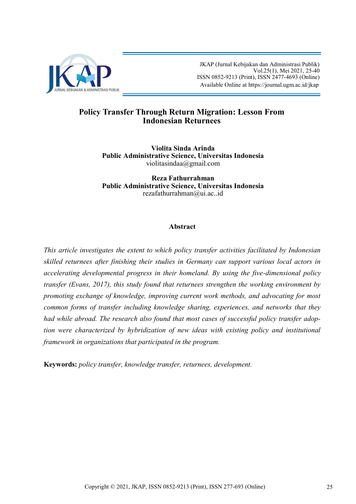

 JKAP (Jurnal Kebijakan dan Administrasi Publik) Vol.25(1), Mei 2021, 25-40 ISSN 0852-9213 (Print), ISSN 2477-4693 (Online) Available Online at [https://journal.ugm.ac.id/jkap](http://journal.ugm.ac.id/jkap)

# **Policy Transfer Through Return Migration: Lesson From Indonesian Returnees**

**Violita Sinda Arinda Public Administrative Science, Universitas Indonesia** violitasindaa@gmail.com

**Reza Fathurrahman Public Administrative Science, Universitas Indonesia** rezafathurrahman@ui.ac..id

# **Abstract**

*This article investigates the extent to which policy transfer activities facilitated by Indonesian skilled returnees after finishing their studies in Germany can support various local actors in accelerating developmental progress in their homeland. By using the five-dimensional policy transfer (Evans, 2017), this study found that returnees strengthen the working environment by promoting exchange of knowledge, improving current work methods, and advocating for most common forms of transfer including knowledge sharing, experiences, and networks that they had while abroad. The research also found that most cases of successful policy transfer adoption were characterized by hybridization of new ideas with existing policy and institutional framework in organizations that participated in the program.*

**Keywords:** *policy transfer, knowledge transfer, returnees, development.*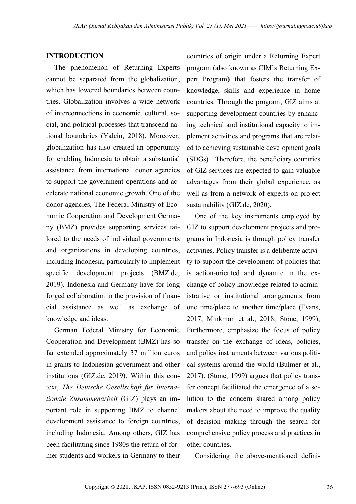## **INTRODUCTION**

The phenomenon of Returning Experts cannot be separated from the globalization, which has lowered boundaries between countries. Globalization involves a wide network of interconnections in economic, cultural, social, and political processes that transcend national boundaries (Yalcin, 2018). Moreover, globalization has also created an opportunity for enabling Indonesia to obtain a substantial assistance from international donor agencies to support the government operations and accelerate national economic growth. One of the donor agencies, The Federal Ministry of Economic Cooperation and Development Germany (BMZ) provides supporting services tailored to the needs of individual governments and organizations in developing countries, including Indonesia, particularly to implement specific development projects (BMZ.de, 2019). Indonesia and Germany have for long forged collaboration in the provision of financial assistance as well as exchange of knowledge and ideas.

German Federal Ministry for Economic Cooperation and Development (BMZ) has so far extended approximately 37 million euros in grants to Indonesian government and other institutions (GIZ.de, 2019). Within this context, *The Deutsche Gesellschaft für Internationale Zusammenarbeit* (GIZ) plays an important role in supporting BMZ to channel development assistance to foreign countries, including Indonesia. Among others, GIZ has been facilitating since 1980s the return of former students and workers in Germany to their countries of origin under a Returning Expert program (also known as CIM's Returning Expert Program) that fosters the transfer of knowledge, skills and experience in home countries. Through the program, GIZ aims at supporting development countries by enhancing technical and institutional capacity to implement activities and programs that are related to achieving sustainable development goals (SDGs). Therefore, the beneficiary countries of GIZ services are expected to gain valuable advantages from their global experience, as well as from a network of experts on project sustainability (GIZ.de, 2020).

One of the key instruments employed by GIZ to support development projects and programs in Indonesia is through policy transfer activities. Policy transfer is a deliberate activity to support the development of policies that is action-oriented and dynamic in the exchange of policy knowledge related to administrative or institutional arrangements from one time/place to another time/place (Evans, 2017; Minkman et al., 2018; Stone, 1999); Furthermore, emphasize the focus of policy transfer on the exchange of ideas, policies, and policy instruments between various political systems around the world (Bulmer et al., 2017). (Stone, 1999) argues that policy transfer concept facilitated the emergence of a solution to the concern shared among policy makers about the need to improve the quality of decision making through the search for comprehensive policy process and practices in other countries.

Considering the above-mentioned defini-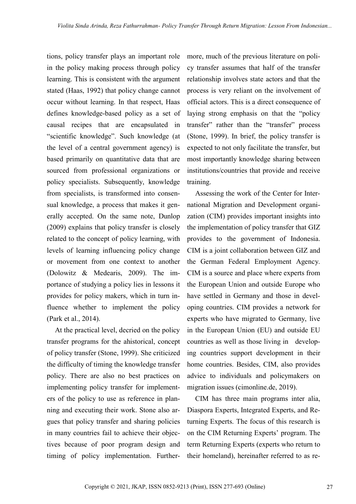tions, policy transfer plays an important role in the policy making process through policy learning. This is consistent with the argument stated (Haas, 1992) that policy change cannot occur without learning. In that respect, Haas defines knowledge-based policy as a set of causal recipes that are encapsulated in "scientific knowledge". Such knowledge (at the level of a central government agency) is based primarily on quantitative data that are sourced from professional organizations or policy specialists. Subsequently, knowledge from specialists, is transformed into consensual knowledge, a process that makes it generally accepted. On the same note, Dunlop (2009) explains that policy transfer is closely related to the concept of policy learning, with levels of learning influencing policy change or movement from one context to another (Dolowitz & Medearis, 2009). The importance of studying a policy lies in lessons it provides for policy makers, which in turn influence whether to implement the policy (Park et al., 2014).

At the practical level, decried on the policy transfer programs for the ahistorical, concept of policy transfer (Stone, 1999). She criticized the difficulty of timing the knowledge transfer policy. There are also no best practices on implementing policy transfer for implementers of the policy to use as reference in planning and executing their work. Stone also argues that policy transfer and sharing policies in many countries fail to achieve their objectives because of poor program design and timing of policy implementation. Furthermore, much of the previous literature on policy transfer assumes that half of the transfer relationship involves state actors and that the process is very reliant on the involvement of official actors. This is a direct consequence of laying strong emphasis on that the "policy transfer" rather than the "transfer" process (Stone, 1999). In brief, the policy transfer is expected to not only facilitate the transfer, but most importantly knowledge sharing between institutions/countries that provide and receive training.

Assessing the work of the Center for International Migration and Development organization (CIM) provides important insights into the implementation of policy transfer that GIZ provides to the government of Indonesia. CIM is a joint collaboration between GIZ and the German Federal Employment Agency. CIM is a source and place where experts from the European Union and outside Europe who have settled in Germany and those in developing countries. CIM provides a network for experts who have migrated to Germany, live in the European Union (EU) and outside EU countries as well as those living in developing countries support development in their home countries. Besides, CIM, also provides advice to individuals and policymakers on migration issues (cimonline.de, 2019).

CIM has three main programs inter alia, Diaspora Experts, Integrated Experts, and Returning Experts. The focus of this research is on the CIM Returning Experts' program. The term Returning Experts (experts who return to their homeland), hereinafter referred to as re-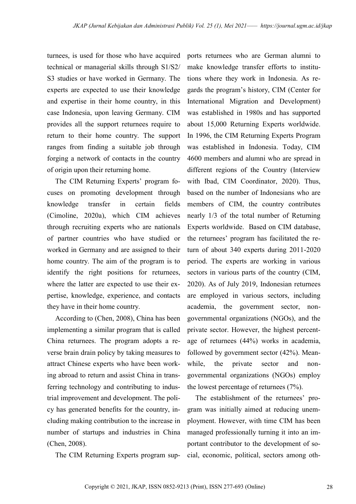turnees, is used for those who have acquired technical or managerial skills through S1/S2/ S3 studies or have worked in Germany. The experts are expected to use their knowledge and expertise in their home country, in this case Indonesia, upon leaving Germany. CIM provides all the support returnees require to return to their home country. The support ranges from finding a suitable job through forging a network of contacts in the country of origin upon their returning home.

The CIM Returning Experts' program focuses on promoting development through knowledge transfer in certain fields (Cimoline, 2020a), which CIM achieves through recruiting experts who are nationals of partner countries who have studied or worked in Germany and are assigned to their home country. The aim of the program is to identify the right positions for returnees, where the latter are expected to use their expertise, knowledge, experience, and contacts they have in their home country.

According to (Chen, 2008), China has been implementing a similar program that is called China returnees. The program adopts a reverse brain drain policy by taking measures to attract Chinese experts who have been working abroad to return and assist China in transferring technology and contributing to industrial improvement and development. The policy has generated benefits for the country, including making contribution to the increase in number of startups and industries in China (Chen, 2008).

The CIM Returning Experts program sup-

ports returnees who are German alumni to make knowledge transfer efforts to institutions where they work in Indonesia. As regards the program's history, CIM (Center for International Migration and Development) was established in 1980s and has supported about 15,000 Returning Experts worldwide. In 1996, the CIM Returning Experts Program was established in Indonesia. Today, CIM 4600 members and alumni who are spread in different regions of the Country (Interview with Ibad, CIM Coordinator, 2020). Thus, based on the number of Indonesians who are members of CIM, the country contributes nearly 1/3 of the total number of Returning Experts worldwide. Based on CIM database, the returnees' program has facilitated the return of about 340 experts during 2011-2020 period. The experts are working in various sectors in various parts of the country (CIM, 2020). As of July 2019, Indonesian returnees are employed in various sectors, including academia, the government sector, nongovernmental organizations (NGOs), and the private sector. However, the highest percentage of returnees (44%) works in academia, followed by government sector (42%). Meanwhile, the private sector and nongovernmental organizations (NGOs) employ the lowest percentage of returnees (7%).

The establishment of the returnees' program was initially aimed at reducing unemployment. However, with time CIM has been managed professionally turning it into an important contributor to the development of social, economic, political, sectors among oth-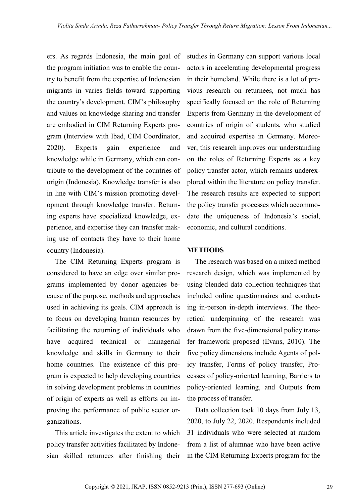ers. As regards Indonesia, the main goal of the program initiation was to enable the country to benefit from the expertise of Indonesian migrants in varies fields toward supporting the country's development. CIM's philosophy and values on knowledge sharing and transfer are embodied in CIM Returning Experts program (Interview with Ibad, CIM Coordinator, 2020). Experts gain experience and knowledge while in Germany, which can contribute to the development of the countries of origin (Indonesia). Knowledge transfer is also in line with CIM's mission promoting development through knowledge transfer. Returning experts have specialized knowledge, experience, and expertise they can transfer making use of contacts they have to their home country (Indonesia).

The CIM Returning Experts program is considered to have an edge over similar programs implemented by donor agencies because of the purpose, methods and approaches used in achieving its goals. CIM approach is to focus on developing human resources by facilitating the returning of individuals who have acquired technical or managerial knowledge and skills in Germany to their home countries. The existence of this program is expected to help developing countries in solving development problems in countries of origin of experts as well as efforts on improving the performance of public sector organizations.

This article investigates the extent to which policy transfer activities facilitated by Indonesian skilled returnees after finishing their studies in Germany can support various local actors in accelerating developmental progress in their homeland. While there is a lot of previous research on returnees, not much has specifically focused on the role of Returning Experts from Germany in the development of countries of origin of students, who studied and acquired expertise in Germany. Moreover, this research improves our understanding on the roles of Returning Experts as a key policy transfer actor, which remains underexplored within the literature on policy transfer. The research results are expected to support the policy transfer processes which accommodate the uniqueness of Indonesia's social, economic, and cultural conditions.

#### **METHODS**

The research was based on a mixed method research design, which was implemented by using blended data collection techniques that included online questionnaires and conducting in-person in-depth interviews. The theoretical underpinning of the research was drawn from the five-dimensional policy transfer framework proposed (Evans, 2010). The five policy dimensions include Agents of policy transfer, Forms of policy transfer, Processes of policy-oriented learning, Barriers to policy-oriented learning, and Outputs from the process of transfer.

Data collection took 10 days from July 13, 2020, to July 22, 2020. Respondents included 31 individuals who were selected at random from a list of alumnae who have been active in the CIM Returning Experts program for the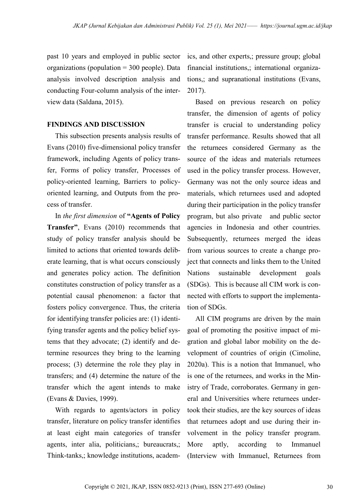past 10 years and employed in public sector organizations (population = 300 people). Data analysis involved description analysis and conducting Four-column analysis of the interview data (Saldana, 2015).

### **FINDINGS AND DISCUSSION**

This subsection presents analysis results of Evans (2010) five-dimensional policy transfer framework, including Agents of policy transfer, Forms of policy transfer, Processes of policy-oriented learning, Barriers to policyoriented learning, and Outputs from the process of transfer.

In *the first dimension* of **"Agents of Policy Transfer"**, Evans (2010) recommends that study of policy transfer analysis should be limited to actions that oriented towards deliberate learning, that is what occurs consciously and generates policy action. The definition constitutes construction of policy transfer as a potential causal phenomenon: a factor that fosters policy convergence. Thus, the criteria for identifying transfer policies are: (1) identifying transfer agents and the policy belief systems that they advocate; (2) identify and determine resources they bring to the learning process; (3) determine the role they play in transfers; and (4) determine the nature of the transfer which the agent intends to make (Evans & Davies, 1999).

With regards to agents/actors in policy transfer, literature on policy transfer identifies at least eight main categories of transfer agents, inter alia, politicians,; bureaucrats,; Think-tanks,; knowledge institutions, academics, and other experts,; pressure group; global financial institutions,; international organizations,; and supranational institutions (Evans, 2017).

Based on previous research on policy transfer, the dimension of agents of policy transfer is crucial to understanding policy transfer performance. Results showed that all the returnees considered Germany as the source of the ideas and materials returnees used in the policy transfer process. However, Germany was not the only source ideas and materials, which returnees used and adopted during their participation in the policy transfer program, but also private and public sector agencies in Indonesia and other countries. Subsequently, returnees merged the ideas from various sources to create a change project that connects and links them to the United Nations sustainable development goals (SDGs). This is because all CIM work is connected with efforts to support the implementation of SDGs.

All CIM programs are driven by the main goal of promoting the positive impact of migration and global labor mobility on the development of countries of origin (Cimoline, 2020a). This is a notion that Immanuel, who is one of the returnees, and works in the Ministry of Trade, corroborates. Germany in general and Universities where returnees undertook their studies, are the key sources of ideas that returnees adopt and use during their involvement in the policy transfer program. More aptly, according to Immanuel (Interview with Immanuel, Returnees from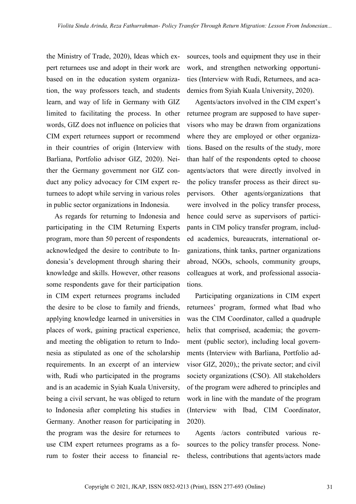the Ministry of Trade, 2020), Ideas which expert returnees use and adopt in their work are based on in the education system organization, the way professors teach, and students learn, and way of life in Germany with GIZ limited to facilitating the process. In other words, GIZ does not influence on policies that CIM expert returnees support or recommend in their countries of origin (Interview with Barliana, Portfolio advisor GIZ, 2020). Neither the Germany government nor GIZ conduct any policy advocacy for CIM expert returnees to adopt while serving in various roles in public sector organizations in Indonesia.

As regards for returning to Indonesia and participating in the CIM Returning Experts program, more than 50 percent of respondents acknowledged the desire to contribute to Indonesia's development through sharing their knowledge and skills. However, other reasons some respondents gave for their participation in CIM expert returnees programs included the desire to be close to family and friends, applying knowledge learned in universities in places of work, gaining practical experience, and meeting the obligation to return to Indonesia as stipulated as one of the scholarship requirements. In an excerpt of an interview with, Rudi who participated in the programs and is an academic in Syiah Kuala University, being a civil servant, he was obliged to return to Indonesia after completing his studies in Germany. Another reason for participating in the program was the desire for returnees to use CIM expert returnees programs as a forum to foster their access to financial resources, tools and equipment they use in their work, and strengthen networking opportunities (Interview with Rudi, Returnees, and academics from Syiah Kuala University, 2020).

Agents/actors involved in the CIM expert's returnee program are supposed to have supervisors who may be drawn from organizations where they are employed or other organizations. Based on the results of the study, more than half of the respondents opted to choose agents/actors that were directly involved in the policy transfer process as their direct supervisors. Other agents/organizations that were involved in the policy transfer process, hence could serve as supervisors of participants in CIM policy transfer program, included academics, bureaucrats, international organizations, think tanks, partner organizations abroad, NGOs, schools, community groups, colleagues at work, and professional associations.

Participating organizations in CIM expert returnees' program, formed what Ibad who was the CIM Coordinator, called a quadruple helix that comprised, academia; the government (public sector), including local governments (Interview with Barliana, Portfolio advisor GIZ, 2020),; the private sector; and civil society organizations (CSO). All stakeholders of the program were adhered to principles and work in line with the mandate of the program (Interview with Ibad, CIM Coordinator, 2020).

Agents /actors contributed various resources to the policy transfer process. Nonetheless, contributions that agents/actors made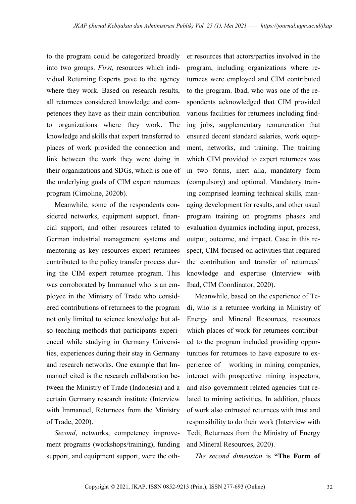to the program could be categorized broadly into two groups. *First,* resources which individual Returning Experts gave to the agency where they work. Based on research results, all returnees considered knowledge and competences they have as their main contribution to organizations where they work. The knowledge and skills that expert transferred to places of work provided the connection and link between the work they were doing in their organizations and SDGs, which is one of the underlying goals of CIM expert returnees program (Cimoline, 2020b).

Meanwhile, some of the respondents considered networks, equipment support, financial support, and other resources related to German industrial management systems and mentoring as key resources expert returnees contributed to the policy transfer process during the CIM expert returnee program. This was corroborated by Immanuel who is an employee in the Ministry of Trade who considered contributions of returnees to the program not only limited to science knowledge but also teaching methods that participants experienced while studying in Germany Universities, experiences during their stay in Germany and research networks. One example that Immanuel cited is the research collaboration between the Ministry of Trade (Indonesia) and a certain Germany research institute (Interview with Immanuel, Returnees from the Ministry of Trade, 2020).

*Second*, networks, competency improvement programs (workshops/training), funding support, and equipment support, were the other resources that actors/parties involved in the program, including organizations where returnees were employed and CIM contributed to the program. Ibad, who was one of the respondents acknowledged that CIM provided various facilities for returnees including finding jobs, supplementary remuneration that ensured decent standard salaries, work equipment, networks, and training. The training which CIM provided to expert returnees was in two forms, inert alia, mandatory form (compulsory) and optional. Mandatory training comprised learning technical skills, managing development for results, and other usual program training on programs phases and evaluation dynamics including input, process, output, outcome, and impact. Case in this respect, CIM focused on activities that required the contribution and transfer of returnees' knowledge and expertise (Interview with Ibad, CIM Coordinator, 2020).

Meanwhile, based on the experience of Tedi, who is a returnee working in Ministry of Energy and Mineral Resources, resources which places of work for returnees contributed to the program included providing opportunities for returnees to have exposure to experience of working in mining companies, interact with prospective mining inspectors, and also government related agencies that related to mining activities. In addition, places of work also entrusted returnees with trust and responsibility to do their work (Interview with Tedi, Returnees from the Ministry of Energy and Mineral Resources, 2020).

*The second dimension* is **"The Form of**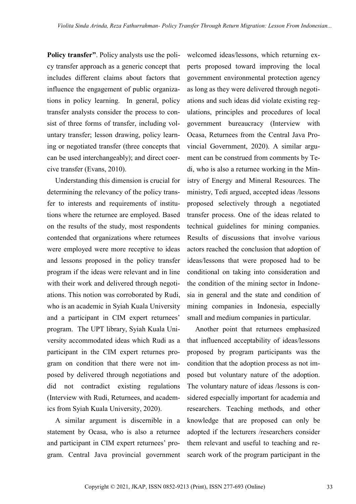**Policy transfer"**. Policy analysts use the policy transfer approach as a generic concept that includes different claims about factors that influence the engagement of public organizations in policy learning. In general, policy transfer analysts consider the process to consist of three forms of transfer, including voluntary transfer; lesson drawing, policy learning or negotiated transfer (three concepts that can be used interchangeably); and direct coercive transfer (Evans, 2010).

Understanding this dimension is crucial for determining the relevancy of the policy transfer to interests and requirements of institutions where the returnee are employed. Based on the results of the study, most respondents contended that organizations where returnees were employed were more receptive to ideas and lessons proposed in the policy transfer program if the ideas were relevant and in line with their work and delivered through negotiations. This notion was corroborated by Rudi, who is an academic in Syiah Kuala University and a participant in CIM expert returnees' program. The UPT library, Syiah Kuala University accommodated ideas which Rudi as a participant in the CIM expert returnes program on condition that there were not imposed by delivered through negotiations and did not contradict existing regulations (Interview with Rudi, Returnees, and academics from Syiah Kuala University, 2020).

A similar argument is discernible in a statement by Ocasa, who is also a returnee and participant in CIM expert returnees' program. Central Java provincial government

welcomed ideas/lessons, which returning experts proposed toward improving the local government environmental protection agency as long as they were delivered through negotiations and such ideas did violate existing regulations, principles and procedures of local government bureaucracy (Interview with Ocasa, Returnees from the Central Java Provincial Government, 2020). A similar argument can be construed from comments by Tedi, who is also a returnee working in the Ministry of Energy and Mineral Resources. The ministry, Tedi argued, accepted ideas /lessons proposed selectively through a negotiated transfer process. One of the ideas related to technical guidelines for mining companies. Results of discussions that involve various actors reached the conclusion that adoption of ideas/lessons that were proposed had to be conditional on taking into consideration and the condition of the mining sector in Indonesia in general and the state and condition of mining companies in Indonesia, especially small and medium companies in particular.

Another point that returnees emphasized that influenced acceptability of ideas/lessons proposed by program participants was the condition that the adoption process as not imposed but voluntary nature of the adoption. The voluntary nature of ideas /lessons is considered especially important for academia and researchers. Teaching methods, and other knowledge that are proposed can only be adopted if the lecturers /researchers consider them relevant and useful to teaching and research work of the program participant in the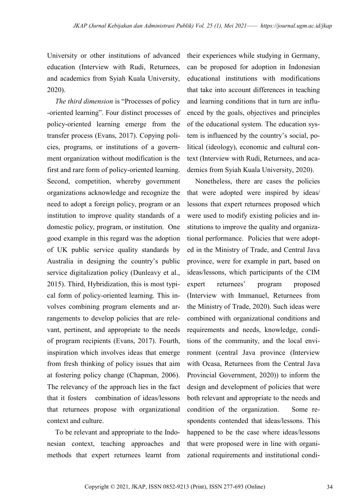University or other institutions of advanced education (Interview with Rudi, Returnees, and academics from Syiah Kuala University, 2020).

*The third dimension* is "Processes of policy -oriented learning". Four distinct processes of policy-oriented learning emerge from the transfer process (Evans, 2017). Copying policies, programs, or institutions of a government organization without modification is the first and rare form of policy-oriented learning. Second, competition, whereby government organizations acknowledge and recognize the need to adopt a foreign policy, program or an institution to improve quality standards of a domestic policy, program, or institution. One good example in this regard was the adoption of UK public service quality standards by Australia in designing the country's public service digitalization policy (Dunleavy et al., 2015). Third, Hybridization, this is most typical form of policy-oriented learning. This involves combining program elements and arrangements to develop policies that are relevant, pertinent, and appropriate to the needs of program recipients (Evans, 2017). Fourth, inspiration which involves ideas that emerge from fresh thinking of policy issues that aim at fostering policy change (Chapman, 2006). The relevancy of the approach lies in the fact that it fosters combination of ideas/lessons that returnees propose with organizational context and culture.

To be relevant and appropriate to the Indonesian context, teaching approaches and methods that expert returnees learnt from

their experiences while studying in Germany, can be proposed for adoption in Indonesian educational institutions with modifications that take into account differences in teaching and learning conditions that in turn are influenced by the goals, objectives and principles of the educational system. The education system is influenced by the country's social, political (ideology), economic and cultural context (Interview with Rudi, Returnees, and academics from Syiah Kuala University, 2020).

Nonetheless, there are cases the policies that were adopted were inspired by ideas/ lessons that expert returnees proposed which were used to modify existing policies and institutions to improve the quality and organizational performance. Policies that were adopted in the Ministry of Trade, and Central Java province, were for example in part, based on ideas/lessons, which participants of the CIM expert returnees' program proposed (Interview with Immanuel, Returnees from the Ministry of Trade, 2020). Such ideas were combined with organizational conditions and requirements and needs, knowledge, conditions of the community, and the local environment (central Java province (Interview with Ocasa, Returnees from the Central Java Provincial Government, 2020)) to inform the design and development of policies that were both relevant and appropriate to the needs and condition of the organization. Some respondents contended that ideas/lessons. This happened to be the case where ideas/lessons that were proposed were in line with organizational requirements and institutional condi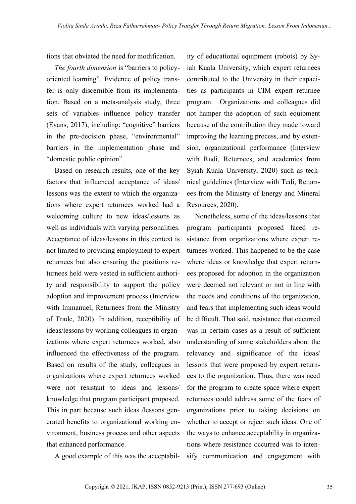tions that obviated the need for modification.

*The fourth dimension* is "barriers to policyoriented learning". Evidence of policy transfer is only discernible from its implementation. Based on a meta-analysis study, three sets of variables influence policy transfer (Evans, 2017), including: "cognitive" barriers in the pre-decision phase, "environmental" barriers in the implementation phase and "domestic public opinion".

Based on research results, one of the key factors that influenced acceptance of ideas/ lessons was the extent to which the organizations where expert returnees worked had a welcoming culture to new ideas/lessons as well as individuals with varying personalities. Acceptance of ideas/lessons in this context is not limited to providing employment to expert returnees but also ensuring the positions returnees held were vested in sufficient authority and responsibility to support the policy adoption and improvement process (Interview with Immanuel, Returnees from the Ministry of Trade, 2020). In addition, receptibility of ideas/lessons by working colleagues in organizations where expert returnees worked, also influenced the effectiveness of the program. Based on results of the study, colleagues in organizations where expert returnees worked were not resistant to ideas and lessons/ knowledge that program participant proposed. This in part because such ideas /lessons generated benefits to organizational working environment, business process and other aspects that enhanced performance.

A good example of this was the acceptabil-

ity of educational equipment (robots) by Syiah Kuala University, which expert returnees contributed to the University in their capacities as participants in CIM expert returnee program. Organizations and colleagues did not hamper the adoption of such equipment because of the contribution they made toward improving the learning process, and by extension, organizational performance (Interview with Rudi, Returnees, and academics from Syiah Kuala University, 2020) such as technical guidelines (Interview with Tedi, Returnees from the Ministry of Energy and Mineral Resources, 2020).

Nonetheless, some of the ideas/lessons that program participants proposed faced resistance from organizations where expert returnees worked. This happened to be the case where ideas or knowledge that expert returnees proposed for adoption in the organization were deemed not relevant or not in line with the needs and conditions of the organization, and fears that implementing such ideas would be difficult. That said, resistance that occurred was in certain cases as a result of sufficient understanding of some stakeholders about the relevancy and significance of the ideas/ lessons that were proposed by expert returnees to the organization. Thus, there was need for the program to create space where expert returnees could address some of the fears of organizations prior to taking decisions on whether to accept or reject such ideas. One of the ways to enhance acceptability in organizations where resistance occurred was to intensify communication and engagement with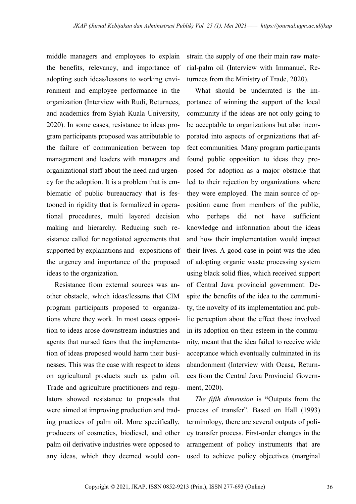middle managers and employees to explain the benefits, relevancy, and importance of adopting such ideas/lessons to working environment and employee performance in the organization (Interview with Rudi, Returnees, and academics from Syiah Kuala University, 2020). In some cases, resistance to ideas program participants proposed was attributable to the failure of communication between top management and leaders with managers and organizational staff about the need and urgency for the adoption. It is a problem that is emblematic of public bureaucracy that is festooned in rigidity that is formalized in operational procedures, multi layered decision making and hierarchy. Reducing such resistance called for negotiated agreements that supported by explanations and expositions of the urgency and importance of the proposed ideas to the organization.

Resistance from external sources was another obstacle, which ideas/lessons that CIM program participants proposed to organizations where they work. In most cases opposition to ideas arose downstream industries and agents that nursed fears that the implementation of ideas proposed would harm their businesses. This was the case with respect to ideas on agricultural products such as palm oil. Trade and agriculture practitioners and regulators showed resistance to proposals that were aimed at improving production and trading practices of palm oil. More specifically, producers of cosmetics, biodiesel, and other palm oil derivative industries were opposed to any ideas, which they deemed would con-

strain the supply of one their main raw material-palm oil (Interview with Immanuel, Returnees from the Ministry of Trade, 2020).

What should be underrated is the importance of winning the support of the local community if the ideas are not only going to be acceptable to organizations but also incorporated into aspects of organizations that affect communities. Many program participants found public opposition to ideas they proposed for adoption as a major obstacle that led to their rejection by organizations where they were employed. The main source of opposition came from members of the public, who perhaps did not have sufficient knowledge and information about the ideas and how their implementation would impact their lives. A good case in point was the idea of adopting organic waste processing system using black solid flies, which received support of Central Java provincial government. Despite the benefits of the idea to the community, the novelty of its implementation and public perception about the effect those involved in its adoption on their esteem in the community, meant that the idea failed to receive wide acceptance which eventually culminated in its abandonment (Interview with Ocasa, Returnees from the Central Java Provincial Government, 2020).

*The fifth dimension* is **"**Outputs from the process of transfer". Based on Hall (1993) terminology, there are several outputs of policy transfer process. First-order changes in the arrangement of policy instruments that are used to achieve policy objectives (marginal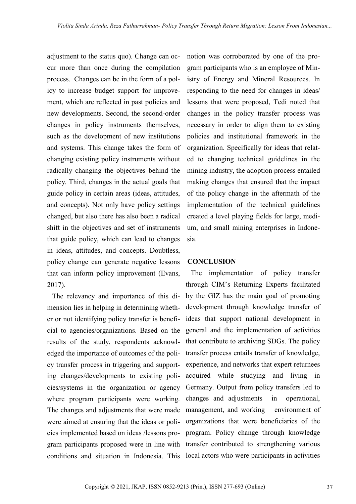adjustment to the status quo). Change can occur more than once during the compilation process. Changes can be in the form of a policy to increase budget support for improvement, which are reflected in past policies and new developments. Second, the second-order changes in policy instruments themselves, such as the development of new institutions and systems. This change takes the form of changing existing policy instruments without radically changing the objectives behind the policy. Third, changes in the actual goals that guide policy in certain areas (ideas, attitudes, and concepts). Not only have policy settings changed, but also there has also been a radical shift in the objectives and set of instruments that guide policy, which can lead to changes in ideas, attitudes, and concepts. Doubtless, policy change can generate negative lessons that can inform policy improvement (Evans, 2017).

The relevancy and importance of this dimension lies in helping in determining whether or not identifying policy transfer is beneficial to agencies/organizations. Based on the results of the study, respondents acknowledged the importance of outcomes of the policy transfer process in triggering and supporting changes/developments to existing policies/systems in the organization or agency where program participants were working. The changes and adjustments that were made were aimed at ensuring that the ideas or policies implemented based on ideas /lessons program participants proposed were in line with conditions and situation in Indonesia. This local actors who were participants in activities

notion was corroborated by one of the program participants who is an employee of Ministry of Energy and Mineral Resources. In responding to the need for changes in ideas/ lessons that were proposed, Tedi noted that changes in the policy transfer process was necessary in order to align them to existing policies and institutional framework in the organization. Specifically for ideas that related to changing technical guidelines in the mining industry, the adoption process entailed making changes that ensured that the impact of the policy change in the aftermath of the implementation of the technical guidelines created a level playing fields for large, medium, and small mining enterprises in Indonesia.

## **CONCLUSION**

The implementation of policy transfer through CIM's Returning Experts facilitated by the GIZ has the main goal of promoting development through knowledge transfer of ideas that support national development in general and the implementation of activities that contribute to archiving SDGs. The policy transfer process entails transfer of knowledge, experience, and networks that expert returnees acquired while studying and living in Germany. Output from policy transfers led to changes and adjustments in operational, management, and working environment of organizations that were beneficiaries of the program. Policy change through knowledge transfer contributed to strengthening various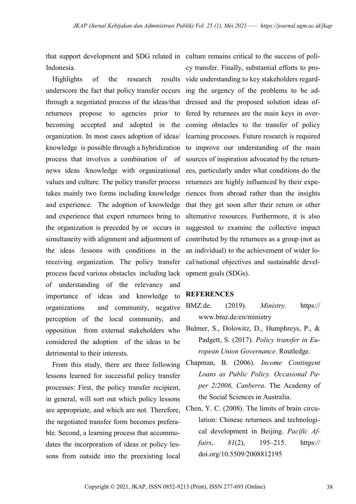that support development and SDG related in culture remains critical to the success of poli-Indonesia.

Highlights of the research underscore the fact that policy transfer occurs ing the urgency of the problems to be adthrough a negotiated process of the ideas/that dressed and the proposed solution ideas ofreturnees propose to agencies prior to fered by returnees are the main keys in overbecoming accepted and adopted in the coming obstacles to the transfer of policy organization. In most cases adoption of ideas/ knowledge is possible through a hybridization to improve our understanding of the main process that involves a combination of of sources of inspiration advocated by the returnnews ideas /knowledge with organizational ees, particularly under what conditions do the values and culture. The policy transfer process returnees are highly influenced by their expetakes mainly two forms including knowledge riences from abroad rather than the insights and experience. The adoption of knowledge that they get soon after their return or other and experience that expert returnees bring to the organization is preceded by or occurs in suggested to examine the collective impact simultaneity with alignment and adjustment of contributed by the returnees as a group (not as the ideas /lessons with conditions in the receiving organization. The policy transfer process faced various obstacles including lack of understanding of the relevancy and importance of ideas and knowledge to organizations and community, negative perception of the local community, and opposition from external stakeholders who considered the adoption of the ideas to be detrimental to their interests.

From this study, there are three following lessons learned for successful policy transfer processes: First, the policy transfer recipient, in general, will sort out which policy lessons are appropriate, and which are not. Therefore, the negotiated transfer form becomes preferable. Second, a learning process that accommodates the incorporation of ideas or policy lessons from outside into the preexisting local

cy transfer. Finally, substantial efforts to proresults vide understanding to key stakeholders regardlearning processes. Future research is required alternative resources. Furthermore, it is also an individual) to the achievement of wider local/national objectives and sustainable development goals (SDGs).

# **REFERENCES**

- BMZ.de. (2019). *Ministry*. https:// www.bmz.de/en/ministry
- Bulmer, S., Dolowitz, D., Humphreys, P., & Padgett, S. (2017). *Policy transfer in European Union Governance*. Routledge.
- Chapman, B. (2006). *Income Contingent Loans as Public Policy. Occasional Paper 2/2006, Canberra*. The Academy of the Social Sciences in Australia.
- Chen, Y. C. (2008). The limits of brain circulation: Chinese returnees and technological development in Beijing. *Pacific Affairs*, *81*(2), 195–215. https:// doi.org/10.5509/2008812195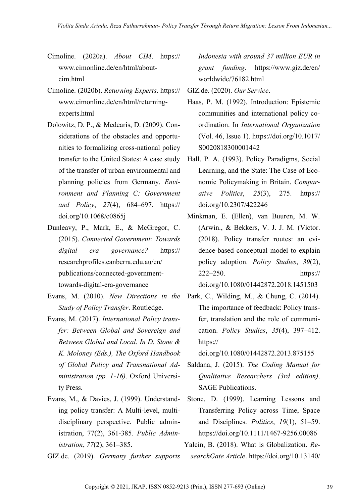- Cimoline. (2020a). *About CIM*. https:// www.cimonline.de/en/html/aboutcim.html
- Cimoline. (2020b). *Returning Experts*. https:// www.cimonline.de/en/html/returningexperts.html
- Dolowitz, D. P., & Medearis, D. (2009). Considerations of the obstacles and opportunities to formalizing cross-national policy transfer to the United States: A case study of the transfer of urban environmental and planning policies from Germany. *Environment and Planning C: Government and Policy*, *27*(4), 684–697. https:// doi.org/10.1068/c0865j
- Dunleavy, P., Mark, E., & McGregor, C. (2015). *Connected Government: Towards digital era governance?* https:// researchprofiles.canberra.edu.au/en/ publications/connected-governmenttowards-digital-era-governance
- Evans, M. (2010). *New Directions in the Study of Policy Transfer*. Routledge.
- Evans, M. (2017). *International Policy transfer: Between Global and Sovereign and Between Global and Local. In D. Stone & K. Moloney (Eds.), The Oxford Handbook of Global Policy and Transnational Administration (pp. 1-16)*. Oxford University Press.
- Evans, M., & Davies, J. (1999). Understanding policy transfer: A Multi‐level, multi‐ disciplinary perspective. Public administration, 77(2), 361-385. *Public Administration*, *77*(2), 361–385.
- GIZ.de. (2019). *Germany further supports*

*Indonesia with around 37 million EUR in grant funding*. https://www.giz.de/en/ worldwide/76182.html

GIZ.de. (2020). *Our Service*.

- Haas, P. M. (1992). Introduction: Epistemic communities and international policy coordination. In *International Organization* (Vol. 46, Issue 1). https://doi.org/10.1017/ S0020818300001442
- Hall, P. A. (1993). Policy Paradigms, Social Learning, and the State: The Case of Economic Policymaking in Britain. *Comparative Politics*, *25*(3), 275. https:// doi.org/10.2307/422246
- Minkman, E. (Ellen), van Buuren, M. W. (Arwin., & Bekkers, V. J. J. M. (Victor. (2018). Policy transfer routes: an evidence-based conceptual model to explain policy adoption. *Policy Studies*, *39*(2), 222–250. https://

```
doi.org/10.1080/01442872.2018.1451503
```
Park, C., Wilding, M., & Chung, C. (2014). The importance of feedback: Policy transfer, translation and the role of communication. *Policy Studies*, *35*(4), 397–412. https://

doi.org/10.1080/01442872.2013.875155

- Saldana, J. (2015). *The Coding Manual for Qualitative Researchers (3rd edition)*. SAGE Publications.
- Stone, D. (1999). Learning Lessons and Transferring Policy across Time, Space and Disciplines. *Politics*, *19*(1), 51–59. https://doi.org/10.1111/1467-9256.00086

Yalcin, B. (2018). What is Globalization. *ResearchGate Article*. https://doi.org/10.13140/